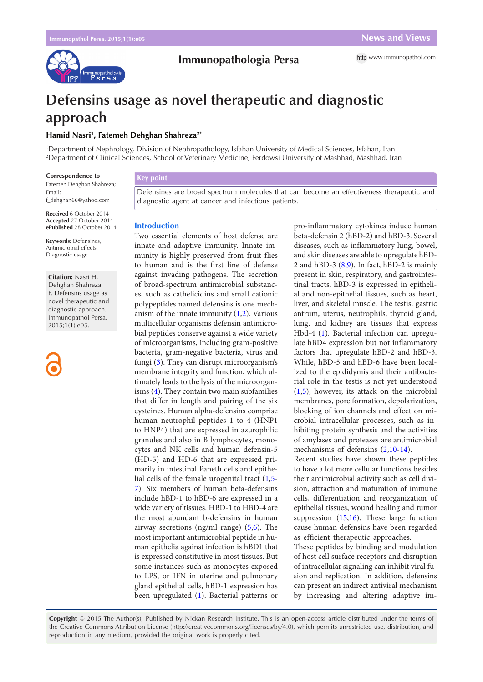

## **Immunopathologia Persa**

# **Defensins usage as novel therapeutic and diagnostic approach**

## **Hamid Nasri1 , Fatemeh Dehghan Shahreza2\***

1 Department of Nephrology, Division of Nephropathology, Isfahan University of Medical Sciences, Isfahan, Iran 2 Department of Clinical Sciences, School of Veterinary Medicine, Ferdowsi University of Mashhad, Mashhad, Iran

#### **Correspondence to**

Fatemeh Dehghan Shahreza; Email: f\_dehghan66@yahoo.com

**Received** 6 October 2014 **Accepted** 27 October 2014 **ePublished** 28 October 2014

**Keywords:** Defensines, Antimicrobial effects, Diagnostic usage

**Citation:** Nasri H, Dehghan Shahreza F. Defensins usage as novel therapeutic and diagnostic approach. Immunopathol Persa. 2015;1(1):e05.



## **Key point**

Defensines are broad spectrum molecules that can become an effectiveness therapeutic and diagnostic agent at cancer and infectious patients.

#### **Introduction**

Two essential elements of host defense are innate and adaptive immunity. Innate immunity is highly preserved from fruit flies to human and is the first line of defense against invading pathogens. The secretion of broad-spectrum antimicrobial substances, such as cathelicidins and small cationic polypeptides named defensins is one mechanism of the innate immunity  $(1,2)$  $(1,2)$  $(1,2)$  $(1,2)$  $(1,2)$ . Various multicellular organisms defensin antimicrobial peptides conserve against a wide variety of microorganisms, including gram-positive bacteria, gram-negative bacteria, virus and fungi ([3\)](#page-1-2). They can disrupt microorganism's membrane integrity and function, which ultimately leads to the lysis of the microorganisms ([4](#page-1-3)). They contain two main subfamilies that differ in length and pairing of the six cysteines. Human alpha-defensins comprise human neutrophil peptides 1 to 4 (HNP1 to HNP4) that are expressed in azurophilic granules and also in B lymphocytes, monocytes and NK cells and human defensin-5 (HD-5) and HD-6 that are expressed primarily in intestinal Paneth cells and epithelial cells of the female urogenital tract ([1,](#page-1-0)[5-](#page-1-4) [7\)](#page-1-5). Six members of human beta-defensins include hBD-1 to hBD-6 are expressed in a wide variety of tissues. HBD-1 to HBD-4 are the most abundant b-defensins in human airway secretions (ng/ml range) [\(5,](#page-1-4)6). The most important antimicrobial peptide in human epithelia against infection is hBD1 that is expressed constitutive in most tissues. But some instances such as monocytes exposed to LPS, or IFN in uterine and pulmonary gland epithelial cells, hBD-1 expression has been upregulated ([1](#page-1-0)). Bacterial patterns or pro-inflammatory cytokines induce human beta-defensin 2 (hBD-2) and hBD-3. Several diseases, such as inflammatory lung, bowel, and skin diseases are able to upregulate hBD-2 and hBD-3 ([8](#page-1-6),[9\)](#page-1-7). In fact, hBD-2 is mainly present in skin, respiratory, and gastrointestinal tracts, hBD-3 is expressed in epithelial and non-epithelial tissues, such as heart, liver, and skeletal muscle. The testis, gastric antrum, uterus, neutrophils, thyroid gland, lung, and kidney are tissues that express Hbd-4 ([1\)](#page-1-0). Bacterial infection can upregulate hBD4 expression but not inflammatory factors that upregulate hBD-2 and hBD-3. While, hBD-5 and hBD-6 have been localized to the epididymis and their antibacterial role in the testis is not yet understood ([1](#page-1-0),[5\)](#page-1-4), however, its attack on the microbial membranes, pore formation, depolarization, blocking of ion channels and effect on microbial intracellular processes, such as inhibiting protein synthesis and the activities of amylases and proteases are antimicrobial mechanisms of defensins ([2](#page-1-1),[10](#page-1-8)-[14](#page-1-9)).

Recent studies have shown these peptides to have a lot more cellular functions besides their antimicrobial activity such as cell division, attraction and maturation of immune cells, differentiation and reorganization of epithelial tissues, wound healing and tumor suppression [\(15,](#page-1-10)[16\)](#page-1-11). These large function cause human defensins have been regarded as efficient therapeutic approaches.

These peptides by binding and modulation of host cell surface receptors and disruption of intracellular signaling can inhibit viral fusion and replication. In addition, defensins can present an indirect antiviral mechanism by increasing and altering adaptive im-

**Copyright** © 2015 The Author(s); Published by Nickan Research Institute. This is an open-access article distributed under the terms of the Creative Commons Attribution License (http://creativecommons.org/licenses/by/4.0), which permits unrestricted use, distribution, and reproduction in any medium, provided the original work is properly cited.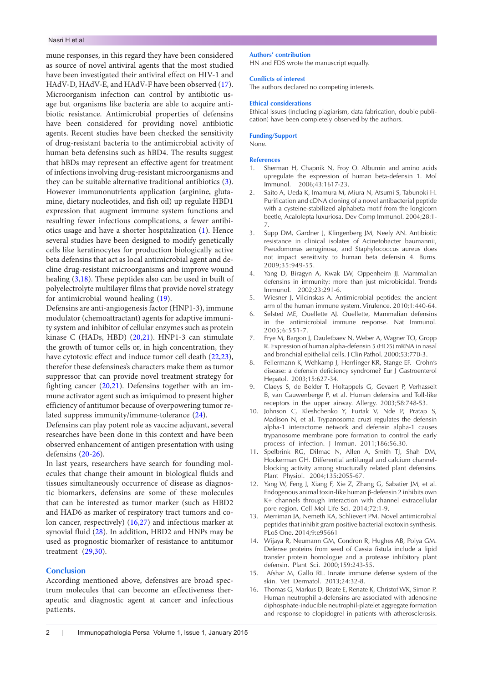mune responses, in this regard they have been considered as source of novel antiviral agents that the most studied have been investigated their antiviral effect on HIV-1 and HAdV-D, HAdV-E, and HAdV-F have been observed [\(17\)](#page-2-0). Microorganism infection can control by antibiotic usage but organisms like bacteria are able to acquire antibiotic resistance. Antimicrobial properties of defensins have been considered for providing novel antibiotic agents. Recent studies have been checked the sensitivity of drug-resistant bacteria to the antimicrobial activity of human beta defensins such as hBD4. The results suggest that hBDs may represent an effective agent for treatment of infections involving drug-resistant microorganisms and they can be suitable alternative traditional antibiotics [\(3\)](#page-1-2). However immunonutrients application (arginine, glutamine, dietary nucleotides, and fish oil) up regulate HBD1 expression that augment immune system functions and resulting fewer infectious complications, a fewer antibiotics usage and have a shorter hospitalization [\(1](#page-1-0)). Hence several studies have been designed to modify genetically cells like keratinocytes for production biologically active beta defensins that act as local antimicrobial agent and decline drug-resistant microorganisms and improve wound healing [\(3](#page-1-2)[,18\)](#page-2-1). These peptides also can be used in built of polyelectrolyte multilayer films that provide novel strategy for antimicrobial wound healing ([19](#page-2-2)).

Defensins are anti-angiogenesis factor (HNP1-3), immune modulator (chemoattractant) agents for adaptive immunity system and inhibitor of cellular enzymes such as protein kinase C (HADs, HBD) ([20](#page-2-3),[21](#page-2-4)). HNP1-3 can stimulate the growth of tumor cells or, in high concentration, they have cytotoxic effect and induce tumor cell death [\(22](#page-2-5)[,23\)](#page-2-6), therefor these defensines's characters make them as tumor suppressor that can provide novel treatment strategy for fighting cancer ([20](#page-2-3),[21](#page-2-4)). Defensins together with an immune activator agent such as imiquimod to present higher efficiency of antitumor because of overpowering tumor related suppress immunity/immune-tolerance [\(24](#page-2-7)).

Defensins can play potent role as vaccine adjuvant, several researches have been done in this context and have been observed enhancement of antigen presentation with using defensins ([20](#page-2-3)-[26](#page-2-8)).

In last years, researchers have search for founding molecules that change their amount in biological fluids and tissues simultaneously occurrence of disease as diagnostic biomarkers, defensins are some of these molecules that can be interested as tumor marker (such as HBD2 and HAD6 as marker of respiratory tract tumors and colon cancer, respectively) [\(16](#page-1-11)[,27\)](#page-2-9) and infectious marker at synovial fluid [\(28](#page-2-10)). In addition, HBD2 and HNPs may be used as prognostic biomarker of resistance to antitumor treatment  $(29,30)$  $(29,30)$  $(29,30)$  $(29,30)$ .

## **Conclusion**

According mentioned above, defensives are broad spectrum molecules that can become an effectiveness therapeutic and diagnostic agent at cancer and infectious patients.

#### **Authors' contribution**

HN and FDS wrote the manuscript equally.

#### **Conflicts of interest**

The authors declared no competing interests.

#### **Ethical considerations**

Ethical issues (including plagiarism, data fabrication, double publication) have been completely observed by the authors.

#### **Funding/Support**

None.

#### **References**

- <span id="page-1-0"></span>1. Sherman H, Chapnik N, Froy O. Albumin and amino acids upregulate the expression of human beta-defensin 1. Mol Immunol. 2006;43:1617-23.
- <span id="page-1-1"></span>2. Saito A, Ueda K, Imamura M, Miura N, Atsumi S, Tabunoki H. Purification and cDNA cloning of a novel antibacterial peptide with a cysteine-stabilized alphabeta motif from the longicorn beetle, Acalolepta luxuriosa. Dev Comp Immunol. 2004;28:1- 7.
- <span id="page-1-2"></span>3. Supp DM, Gardner J, Klingenberg JM, Neely AN. Antibiotic resistance in clinical isolates of Acinetobacter baumannii, Pseudomonas aeruginosa, and Staphylococcus aureus does not impact sensitivity to human beta defensin 4. Burns. 2009;35:949-55.
- <span id="page-1-3"></span>4. Yang D, Biragyn A, Kwak LW, Oppenheim JJ. Mammalian defensins in immunity: more than just microbicidal. Trends Immunol. 2002;23:291-6.
- <span id="page-1-4"></span>5. Wiesner J, Vilcinskas A. Antimicrobial peptides: the ancient arm of the human immune system. Virulence. 2010;1:440-64.
- 6. Selsted ME, Ouellette AJ. Ouellette, Mammalian defensins in the antimicrobial immune response. Nat Immunol. 2005;6:551-7.
- <span id="page-1-5"></span>7. Frye M, Bargon J, Dauletbaev N, Weber A, Wagner TO, Gropp R. Expression of human alpha-defensin 5 (HD5) mRNA in nasal and bronchial epithelial cells. J Clin Pathol. 2000;53:770-3.
- <span id="page-1-6"></span>8. Fellermann K, Wehkamp J, Herrlinger KR, Stange EF. Crohn's disease: a defensin deficiency syndrome? Eur J Gastroenterol Hepatol. 2003;15:627-34.
- <span id="page-1-7"></span>9. Claeys S, de Belder T, Holtappels G, Gevaert P, Verhasselt B, van Cauwenberge P, et al. Human defensins and Toll-like receptors in the upper airway. Allergy. 2003;58:748-53.
- <span id="page-1-8"></span>10. Johnson C, Kleshchenko Y, Furtak V, Nde P, Pratap S, Madison N, et al. Trypanosoma cruzi regulates the defensin alpha-1 interactome network and defensin alpha-1 causes trypanosome membrane pore formation to control the early process of infection. J Immun. 2011;186:56.30.
- 11. Spelbrink RG, Dilmac N, Allen A, Smith TJ, Shah DM, Hockerman GH. Differential antifungal and calcium channelblocking activity among structurally related plant defensins. Plant Physiol. 2004;135:2055-67.
- 12. Yang W, Feng J, Xiang F, Xie Z, Zhang G, Sabatier JM, et al. Endogenous animal toxin-like human β-defensin 2 inhibits own K+ channels through interaction with channel extracellular pore region. Cell Mol Life Sci. 2014;72:1-9.
- 13. Merriman JA, Nemeth KA, Schlievert PM. Novel antimicrobial peptides that inhibit gram positive bacterial exotoxin synthesis. PLoS One. 2014;9:e95661
- <span id="page-1-9"></span>14. Wijaya R, Neumann GM, Condron R, Hughes AB, Polya GM. Defense proteins from seed of Cassia fistula include a lipid transfer protein homologue and a protease inhibitory plant defensin. Plant Sci. 2000;159:243-55.
- <span id="page-1-10"></span>15. Afshar M, Gallo RL. Innate immune defense system of the skin. Vet Dermatol. 2013;24:32-8.
- <span id="page-1-11"></span>16. Thomas G, Markus D, Beate E, Renate K, Christof WK, Simon P. Human neutrophil a-defensins are associated with adenosine diphosphate-inducible neutrophil-platelet aggregate formation and response to clopidogrel in patients with atherosclerosis.